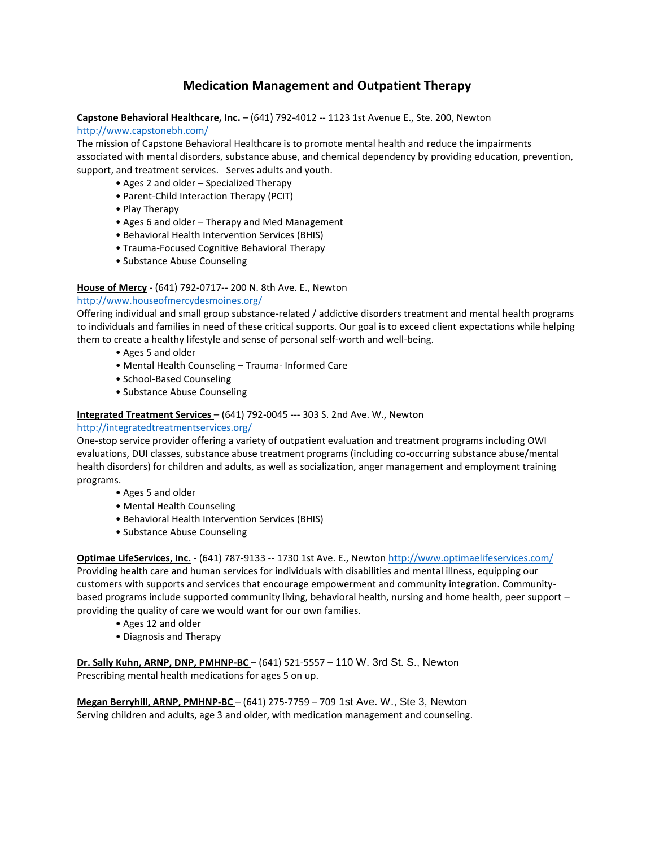# **Medication Management and Outpatient Therapy**

**Capstone Behavioral Healthcare, Inc.** – (641) 792-4012 -- 1123 1st Avenue E., Ste. 200, Newton

<http://www.capstonebh.com/>

The mission of Capstone Behavioral Healthcare is to promote mental health and reduce the impairments associated with mental disorders, substance abuse, and chemical dependency by providing education, prevention, support, and treatment services. Serves adults and youth.

- Ages 2 and older Specialized Therapy
- Parent-Child Interaction Therapy (PCIT)
- Play Therapy
- Ages 6 and older Therapy and Med Management
- Behavioral Health Intervention Services (BHIS)
- Trauma-Focused Cognitive Behavioral Therapy
- Substance Abuse Counseling

## **House of Mercy** - (641) 792-0717-- 200 N. 8th Ave. E., Newton

<http://www.houseofmercydesmoines.org/>

Offering individual and small group substance-related / addictive disorders treatment and mental health programs to individuals and families in need of these critical supports. Our goal is to exceed client expectations while helping them to create a healthy lifestyle and sense of personal self-worth and well-being.

- Ages 5 and older
- Mental Health Counseling Trauma- Informed Care
- School-Based Counseling
- Substance Abuse Counseling

## **Integrated Treatment Services** – (641) 792-0045 --- 303 S. 2nd Ave. W., Newton

### <http://integratedtreatmentservices.org/>

One-stop service provider offering a variety of outpatient evaluation and treatment programs including OWI evaluations, DUI classes, substance abuse treatment programs (including co-occurring substance abuse/mental health disorders) for children and adults, as well as socialization, anger management and employment training programs.

- Ages 5 and older
- Mental Health Counseling
- Behavioral Health Intervention Services (BHIS)
- Substance Abuse Counseling

**Optimae LifeServices, Inc.** - (641) 787-9133 -- 1730 1st Ave. E., Newton<http://www.optimaelifeservices.com/> Providing health care and human services for individuals with disabilities and mental illness, equipping our customers with supports and services that encourage empowerment and community integration. Communitybased programs include supported community living, behavioral health, nursing and home health, peer support – providing the quality of care we would want for our own families.

- Ages 12 and older
- Diagnosis and Therapy

**Dr. Sally Kuhn, ARNP, DNP, PMHNP-BC** – (641) 521-5557 – 110 W. 3rd St. S., Newton Prescribing mental health medications for ages 5 on up.

**Megan Berryhill, ARNP, PMHNP-BC** – (641) 275-7759 – 709 1st Ave. W., Ste 3, Newton Serving children and adults, age 3 and older, with medication management and counseling.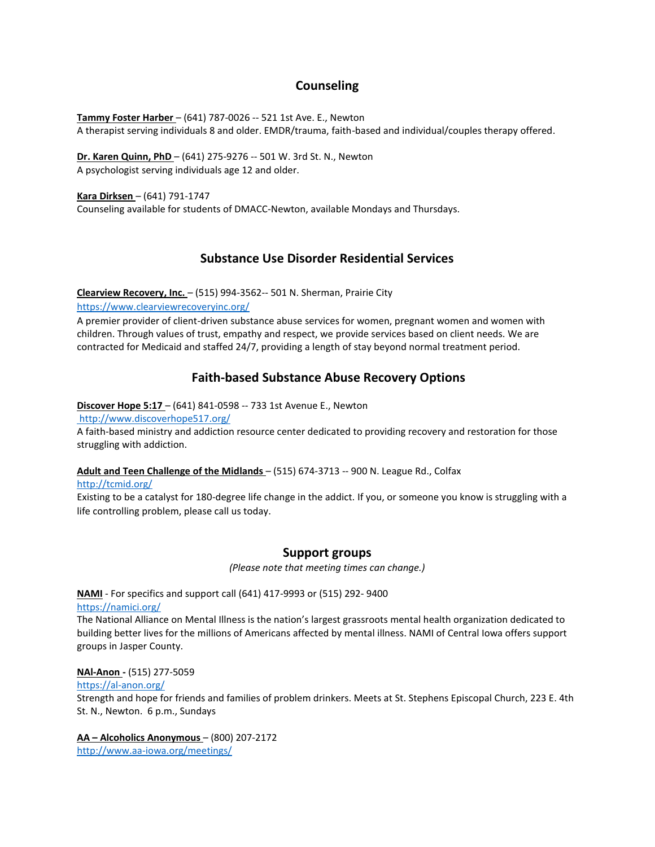## **Counseling**

**Tammy Foster Harber** – (641) 787-0026 -- 521 1st Ave. E., Newton A therapist serving individuals 8 and older. EMDR/trauma, faith-based and individual/couples therapy offered.

**Dr. Karen Quinn, PhD** – (641) 275-9276 -- 501 W. 3rd St. N., Newton A psychologist serving individuals age 12 and older.

**Kara Dirksen** – (641) 791-1747

Counseling available for students of DMACC-Newton, available Mondays and Thursdays.

## **Substance Use Disorder Residential Services**

**Clearview Recovery, Inc.** – (515) 994-3562-- 501 N. Sherman, Prairie City

<https://www.clearviewrecoveryinc.org/>

A premier provider of client-driven substance abuse services for women, pregnant women and women with children. Through values of trust, empathy and respect, we provide services based on client needs. We are contracted for Medicaid and staffed 24/7, providing a length of stay beyond normal treatment period.

## **Faith-based Substance Abuse Recovery Options**

**Discover Hope 5:17** – (641) 841-0598 -- 733 1st Avenue E., Newton

<http://www.discoverhope517.org/>

A faith-based ministry and addiction resource center dedicated to providing recovery and restoration for those struggling with addiction.

**Adult and Teen Challenge of the Midlands** – (515) 674-3713 -- 900 N. League Rd., Colfax

<http://tcmid.org/>

Existing to be a catalyst for 180-degree life change in the addict. If you, or someone you know is struggling with a life controlling problem, please call us today.

## **Support groups**

*(Please note that meeting times can change.)* 

#### **NAMI** - For specifics and support call (641) 417-9993 or (515) 292- 9400 <https://namici.org/>

The National Alliance on Mental Illness is the nation's largest grassroots mental health organization dedicated to building better lives for the millions of Americans affected by mental illness. NAMI of Central Iowa offers support groups in Jasper County.

### **NAl-Anon -** (515) 277-5059

<https://al-anon.org/>

Strength and hope for friends and families of problem drinkers. Meets at St. Stephens Episcopal Church, 223 E. 4th St. N., Newton. 6 p.m., Sundays

**AA – Alcoholics Anonymous** – (800) 207-2172 <http://www.aa-iowa.org/meetings/>